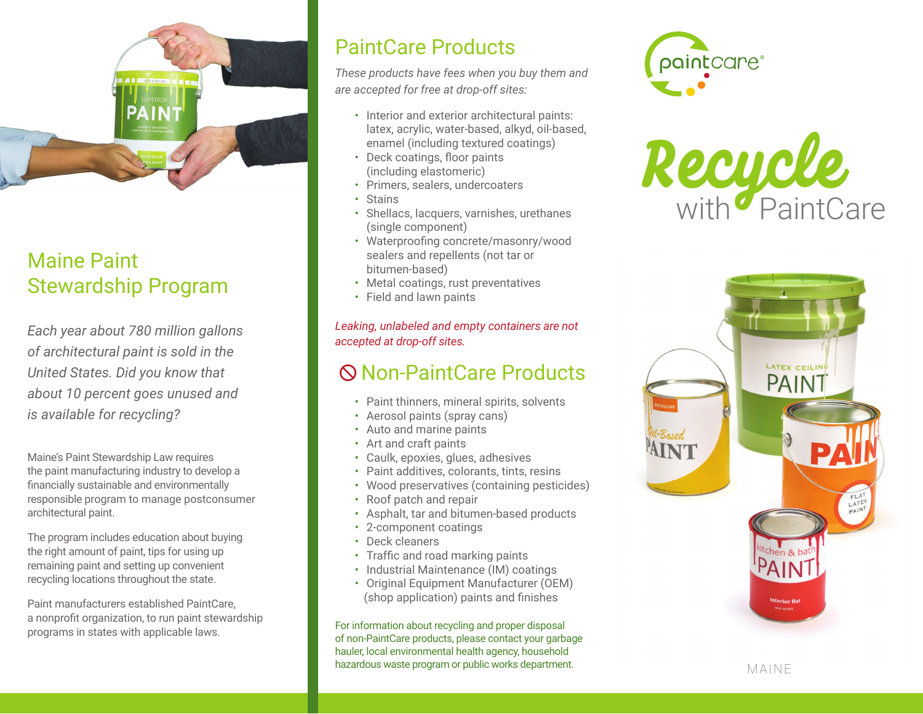

# Maine Paint Stewardship Program

*Each year about 780 million gallons of architectural paint is sold in the United States. Did you know that about 10 percent goes unused and is available for recycling?*

Maine's Paint Stewardship Law requires the paint manufacturing industry to develop a financially sustainable and environmentally responsible program to manage postconsumer architectural paint.

The program includes education about buying the right amount of paint, tips for using up remaining paint and setting up convenient recycling locations throughout the state.

Paint manufacturers established PaintCare, a nonprofit organization, to run paint stewardship programs in states with applicable laws.

# PaintCare Products

*These products have fees when you buy them and are accepted for free at drop-off sites:*

- Interior and exterior architectural paints: latex, acrylic, water-based, alkyd, oil-based, enamel (including textured coatings)
- Deck coatings, floor paints (including elastomeric)
- Primers, sealers, undercoaters
- Stains
- Shellacs, lacquers, varnishes, urethanes (single component)
- Waterproofing concrete/masonry/wood sealers and repellents (not tar or bitumen-based)
- Metal coatings, rust preventatives
- Field and lawn paints

*Leaking, unlabeled and empty containers are not accepted at drop-off sites.*

# Non-PaintCare Products

- Paint thinners, mineral spirits, solvents
- Aerosol paints (spray cans)
- Auto and marine paints
- Art and craft paints
- Caulk, epoxies, glues, adhesives
- Paint additives, colorants, tints, resins
- Wood preservatives (containing pesticides)
- Roof patch and repair
- Asphalt, tar and bitumen-based products
- 2-component coatings
- Deck cleaners
- Traffic and road marking paints
- Industrial Maintenance (IM) coatings
- Original Equipment Manufacturer (OEM) (shop application) paints and finishes

For information about recycling and proper disposal of non-PaintCare products, please contact your garbage hauler, local environmental health agency, household hazardous waste program or public works department.